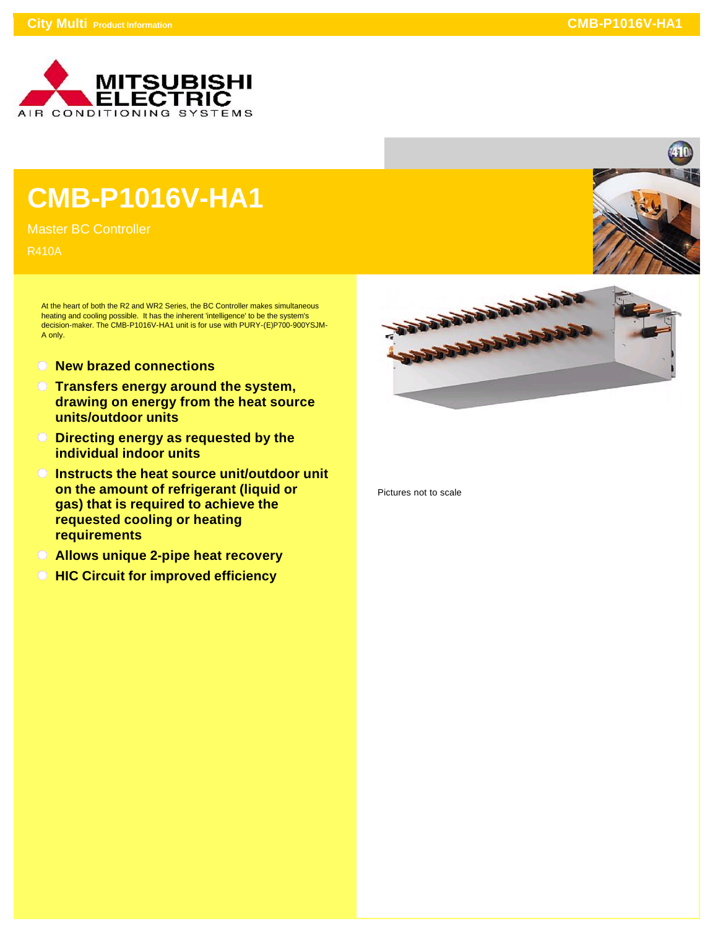

## **CMB-P1016V-HA1**

Master BC Controller

R410A

At the heart of both the R2 and WR2 Series, the BC Controller makes simultaneous heating and cooling possible. It has the inherent 'intelligence' to be the system's decision-maker. The CMB-P1016V-HA1 unit is for use with PURY-(E)P700-900YSJM-A only.

- **New brazed connections**
- **Transfers energy around the system, drawing on energy from the heat source units/outdoor units**
- **Directing energy as requested by the individual indoor units**
- **Instructs the heat source unit/outdoor unit on the amount of refrigerant (liquid or gas) that is required to achieve the requested cooling or heating requirements**
- **Allows unique 2-pipe heat recovery**
- **All HIC Circuit for improved efficiency**





Pictures not to scale